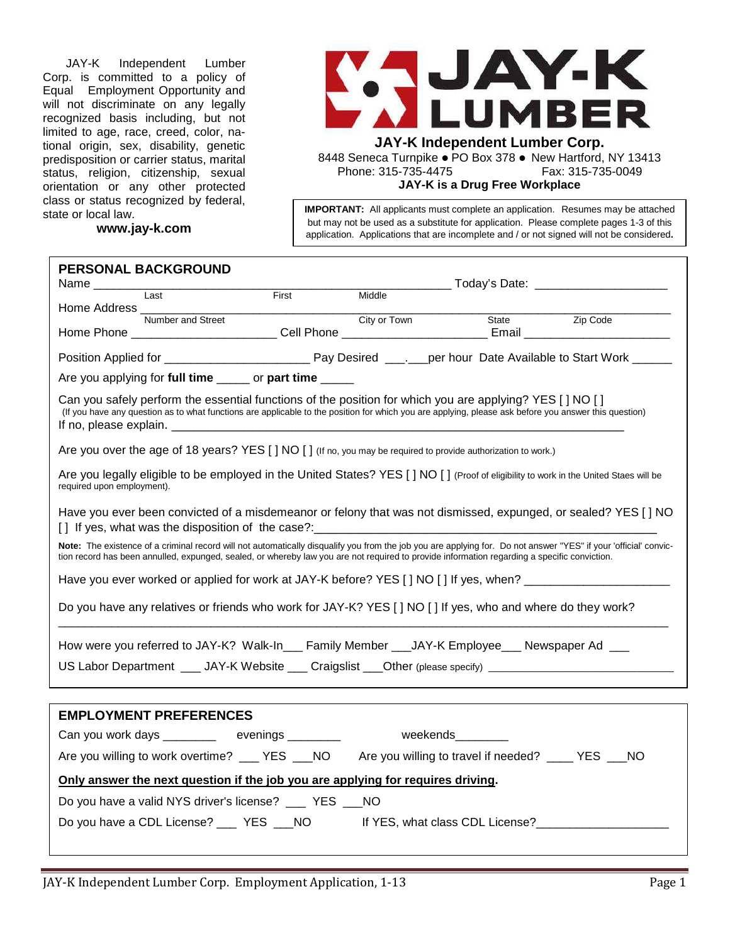JAY-K Independent Lumber Corp. is committed to a policy of Equal Employment Opportunity and will not discriminate on any legally recognized basis including, but not limited to age, race, creed, color, national origin, sex, disability, genetic predisposition or carrier status, marital status, religion, citizenship, sexual orientation or any other protected class or status recognized by federal, state or local law.

**www.jay-k.com**



**JAY-K Independent Lumber Corp.**

8448 Seneca Turnpike . PO Box 378 . New Hartford, NY 13413 Phone: 315-735-4475 Fax: 315-735-0049

**JAY-K is a Drug Free Workplace** 

**IMPORTANT:** All applicants must complete an application. Resumes may be attached but may not be used as a substitute for application. Please complete pages 1-3 of this application. Applications that are incomplete and / or not signed will not be considered**.**

| <b>PERSONAL BACKGROUND</b>                                                                                                                                                                                                                                                                                       |              |        |                                              |  |  |
|------------------------------------------------------------------------------------------------------------------------------------------------------------------------------------------------------------------------------------------------------------------------------------------------------------------|--------------|--------|----------------------------------------------|--|--|
| I ast                                                                                                                                                                                                                                                                                                            | <b>First</b> | Middle | _______ Today's Date: ______________________ |  |  |
| Home Address _______                                                                                                                                                                                                                                                                                             |              |        |                                              |  |  |
|                                                                                                                                                                                                                                                                                                                  |              |        |                                              |  |  |
|                                                                                                                                                                                                                                                                                                                  |              |        |                                              |  |  |
| Are you applying for full time ______ or part time _____                                                                                                                                                                                                                                                         |              |        |                                              |  |  |
| Can you safely perform the essential functions of the position for which you are applying? YES [ ] NO [ ]<br>(If you have any question as to what functions are applicable to the position for which you are applying, please ask before you answer this question)                                               |              |        |                                              |  |  |
| Are you over the age of 18 years? YES [ ] NO [ ] (If no, you may be required to provide authorization to work.)                                                                                                                                                                                                  |              |        |                                              |  |  |
| Are you legally eligible to be employed in the United States? YES [ ] NO [ ] (Proof of eligibility to work in the United Staes will be<br>required upon employment).                                                                                                                                             |              |        |                                              |  |  |
| Have you ever been convicted of a misdemeanor or felony that was not dismissed, expunged, or sealed? YES [] NO                                                                                                                                                                                                   |              |        |                                              |  |  |
| Note: The existence of a criminal record will not automatically disqualify you from the job you are applying for. Do not answer "YES" if your 'official' convic-<br>tion record has been annulled, expunged, sealed, or whereby law you are not required to provide information regarding a specific conviction. |              |        |                                              |  |  |
| Have you ever worked or applied for work at JAY-K before? YES [] NO [] If yes, when? _________________________                                                                                                                                                                                                   |              |        |                                              |  |  |
| Do you have any relatives or friends who work for JAY-K? YES [ ] NO [ ] If yes, who and where do they work?                                                                                                                                                                                                      |              |        |                                              |  |  |
| How were you referred to JAY-K? Walk-In___ Family Member ___JAY-K Employee___ Newspaper Ad ___                                                                                                                                                                                                                   |              |        |                                              |  |  |
| US Labor Department ____ JAY-K Website ___ Craigslist ___Other (please specify) __________________________                                                                                                                                                                                                       |              |        |                                              |  |  |
|                                                                                                                                                                                                                                                                                                                  |              |        |                                              |  |  |
| <b>EMPLOYMENT PREFERENCES</b>                                                                                                                                                                                                                                                                                    |              |        |                                              |  |  |
| Can you work days ___________ evenings __________ weekends________                                                                                                                                                                                                                                               |              |        |                                              |  |  |
| Are you willing to work overtime? ___ YES ___ NO Are you willing to travel if needed? ____ YES ___ NO                                                                                                                                                                                                            |              |        |                                              |  |  |
| Only answer the next question if the job you are applying for requires driving.                                                                                                                                                                                                                                  |              |        |                                              |  |  |
| Do you have a valid NYS driver's license? ____ YES ___ NO                                                                                                                                                                                                                                                        |              |        |                                              |  |  |
| Do you have a CDL License? ___ YES NO                                                                                                                                                                                                                                                                            |              |        |                                              |  |  |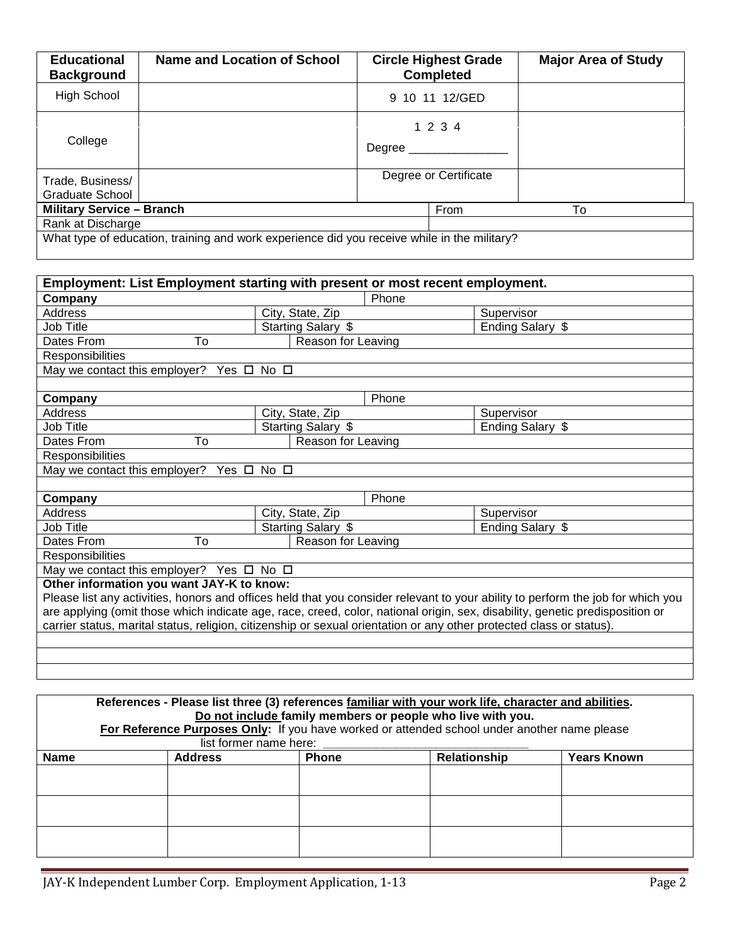| <b>Educational</b><br><b>Background</b> | Name and Location of School                                                                 | <b>Circle Highest Grade</b><br><b>Completed</b> | <b>Major Area of Study</b> |
|-----------------------------------------|---------------------------------------------------------------------------------------------|-------------------------------------------------|----------------------------|
| High School                             |                                                                                             | 9 10 11 12/GED                                  |                            |
| College                                 |                                                                                             | 1 2 3 4<br>Degree _________                     |                            |
| Trade, Business/<br>Graduate School     |                                                                                             | Degree or Certificate                           |                            |
| <b>Military Service - Branch</b>        |                                                                                             | From                                            | To                         |
| Rank at Discharge                       |                                                                                             |                                                 |                            |
|                                         | What type of education, training and work experience did you receive while in the military? |                                                 |                            |

| Employment: List Employment starting with present or most recent employment.                                                    |                    |                  |  |  |  |
|---------------------------------------------------------------------------------------------------------------------------------|--------------------|------------------|--|--|--|
| Company                                                                                                                         | Phone              |                  |  |  |  |
| Address                                                                                                                         | City, State, Zip   | Supervisor       |  |  |  |
| Job Title                                                                                                                       | Starting Salary \$ | Ending Salary \$ |  |  |  |
| To<br>Dates From                                                                                                                | Reason for Leaving |                  |  |  |  |
| Responsibilities                                                                                                                |                    |                  |  |  |  |
| May we contact this employer?<br>Yes □                                                                                          | $No$ $\square$     |                  |  |  |  |
|                                                                                                                                 |                    |                  |  |  |  |
| Company                                                                                                                         | Phone              |                  |  |  |  |
| Address                                                                                                                         | City, State, Zip   | Supervisor       |  |  |  |
| Job Title                                                                                                                       | Starting Salary \$ | Ending Salary \$ |  |  |  |
| Dates From<br>To                                                                                                                | Reason for Leaving |                  |  |  |  |
| Responsibilities                                                                                                                |                    |                  |  |  |  |
| May we contact this employer? Yes $\Box$ No $\Box$                                                                              |                    |                  |  |  |  |
|                                                                                                                                 |                    |                  |  |  |  |
| Company                                                                                                                         | Phone              |                  |  |  |  |
| Address                                                                                                                         | City, State, Zip   | Supervisor       |  |  |  |
| Job Title                                                                                                                       | Starting Salary \$ | Ending Salary \$ |  |  |  |
| To<br>Dates From                                                                                                                | Reason for Leaving |                  |  |  |  |
| <b>Responsibilities</b>                                                                                                         |                    |                  |  |  |  |
| May we contact this employer? Yes $\Box$ No $\Box$                                                                              |                    |                  |  |  |  |
| Other information you want JAY-K to know:                                                                                       |                    |                  |  |  |  |
| Please list any activities, honors and offices held that you consider relevant to your ability to perform the job for which you |                    |                  |  |  |  |
| are applying (omit those which indicate age, race, creed, color, national origin, sex, disability, genetic predisposition or    |                    |                  |  |  |  |
| carrier status, marital status, religion, citizenship or sexual orientation or any other protected class or status).            |                    |                  |  |  |  |
|                                                                                                                                 |                    |                  |  |  |  |
|                                                                                                                                 |                    |                  |  |  |  |
|                                                                                                                                 |                    |                  |  |  |  |

| References - Please list three (3) references familiar with your work life, character and abilities. |                        |              |              |                    |  |  |  |
|------------------------------------------------------------------------------------------------------|------------------------|--------------|--------------|--------------------|--|--|--|
| Do not include family members or people who live with you.                                           |                        |              |              |                    |  |  |  |
| For Reference Purposes Only: If you have worked or attended school under another name please         |                        |              |              |                    |  |  |  |
|                                                                                                      | list former name here: |              |              |                    |  |  |  |
| <b>Name</b>                                                                                          | <b>Address</b>         | <b>Phone</b> | Relationship | <b>Years Known</b> |  |  |  |
|                                                                                                      |                        |              |              |                    |  |  |  |
|                                                                                                      |                        |              |              |                    |  |  |  |
|                                                                                                      |                        |              |              |                    |  |  |  |
|                                                                                                      |                        |              |              |                    |  |  |  |
|                                                                                                      |                        |              |              |                    |  |  |  |
|                                                                                                      |                        |              |              |                    |  |  |  |